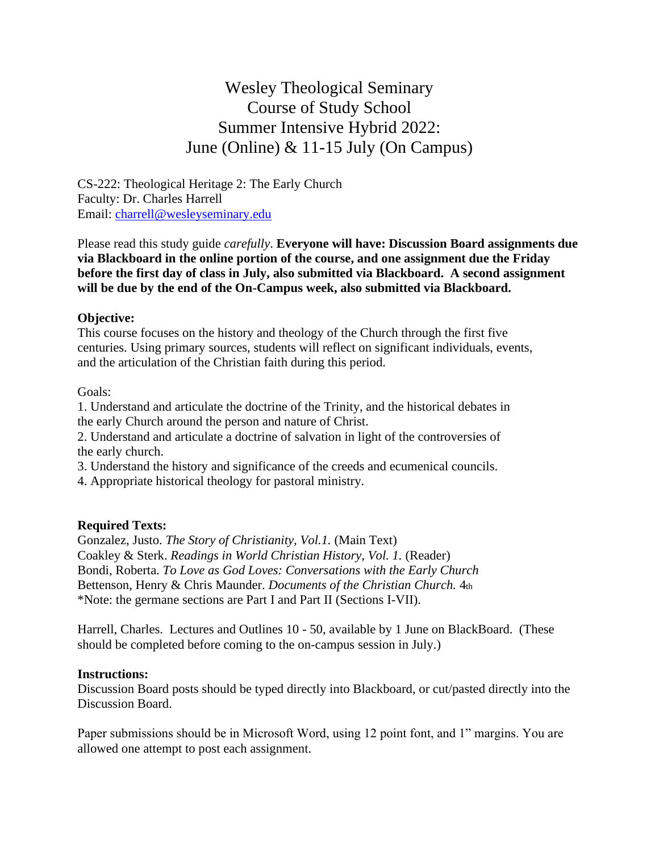Wesley Theological Seminary Course of Study School Summer Intensive Hybrid 2022: June (Online) & 11-15 July (On Campus)

CS-222: Theological Heritage 2: The Early Church Faculty: Dr. Charles Harrell Email: [charrell@wesleyseminary.edu](mailto:charrell@wesleyseminary.edu)

Please read this study guide *carefully*. **Everyone will have: Discussion Board assignments due via Blackboard in the online portion of the course, and one assignment due the Friday before the first day of class in July, also submitted via Blackboard. A second assignment will be due by the end of the On-Campus week, also submitted via Blackboard.**

### **Objective:**

This course focuses on the history and theology of the Church through the first five centuries. Using primary sources, students will reflect on significant individuals, events, and the articulation of the Christian faith during this period.

#### Goals:

1. Understand and articulate the doctrine of the Trinity, and the historical debates in the early Church around the person and nature of Christ.

2. Understand and articulate a doctrine of salvation in light of the controversies of the early church.

3. Understand the history and significance of the creeds and ecumenical councils.

4. Appropriate historical theology for pastoral ministry.

### **Required Texts:**

Gonzalez, Justo. *The Story of Christianity, Vol.1.* (Main Text) Coakley & Sterk. *Readings in World Christian History, Vol. 1.* (Reader) Bondi, Roberta. *To Love as God Loves: Conversations with the Early Church* Bettenson, Henry & Chris Maunder. *Documents of the Christian Church.* 4th \*Note: the germane sections are Part I and Part II (Sections I-VII).

Harrell, Charles. Lectures and Outlines 10 - 50, available by 1 June on BlackBoard. (These should be completed before coming to the on-campus session in July.)

#### **Instructions:**

Discussion Board posts should be typed directly into Blackboard, or cut/pasted directly into the Discussion Board.

Paper submissions should be in Microsoft Word, using 12 point font, and 1" margins. You are allowed one attempt to post each assignment.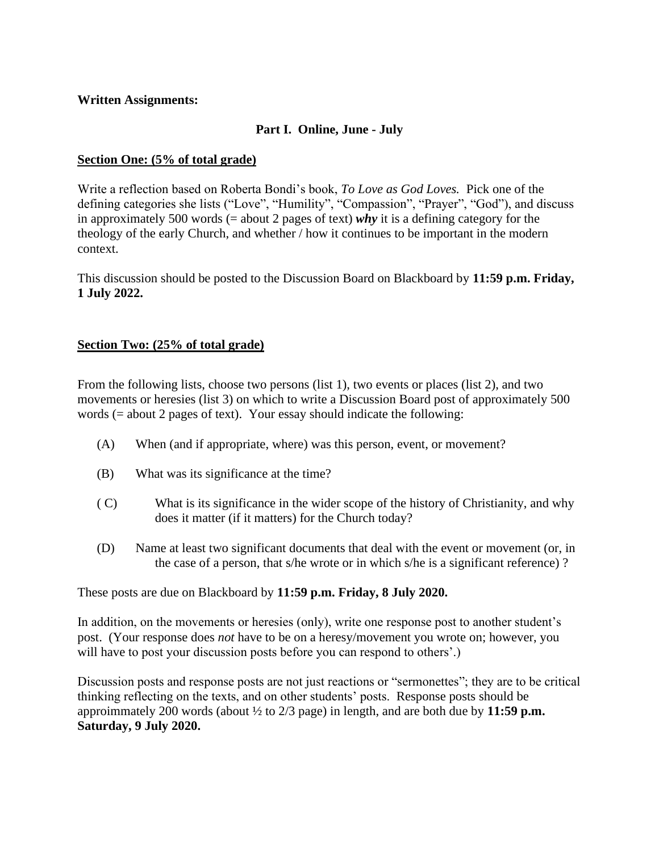# **Written Assignments:**

# **Part I. Online, June - July**

# **Section One: (5% of total grade)**

Write a reflection based on Roberta Bondi's book, *To Love as God Loves.* Pick one of the defining categories she lists ("Love", "Humility", "Compassion", "Prayer", "God"), and discuss in approximately 500 words (= about 2 pages of text) *why* it is a defining category for the theology of the early Church, and whether / how it continues to be important in the modern context.

This discussion should be posted to the Discussion Board on Blackboard by **11:59 p.m. Friday, 1 July 2022.**

# **Section Two: (25% of total grade)**

From the following lists, choose two persons (list 1), two events or places (list 2), and two movements or heresies (list 3) on which to write a Discussion Board post of approximately 500 words (= about 2 pages of text). Your essay should indicate the following:

- (A) When (and if appropriate, where) was this person, event, or movement?
- (B) What was its significance at the time?
- ( C) What is its significance in the wider scope of the history of Christianity, and why does it matter (if it matters) for the Church today?
- (D) Name at least two significant documents that deal with the event or movement (or, in the case of a person, that s/he wrote or in which s/he is a significant reference) ?

These posts are due on Blackboard by **11:59 p.m. Friday, 8 July 2020.**

In addition, on the movements or heresies (only), write one response post to another student's post. (Your response does *not* have to be on a heresy/movement you wrote on; however, you will have to post your discussion posts before you can respond to others'.)

Discussion posts and response posts are not just reactions or "sermonettes"; they are to be critical thinking reflecting on the texts, and on other students' posts. Response posts should be approimmately 200 words (about ½ to 2/3 page) in length, and are both due by **11:59 p.m. Saturday, 9 July 2020.**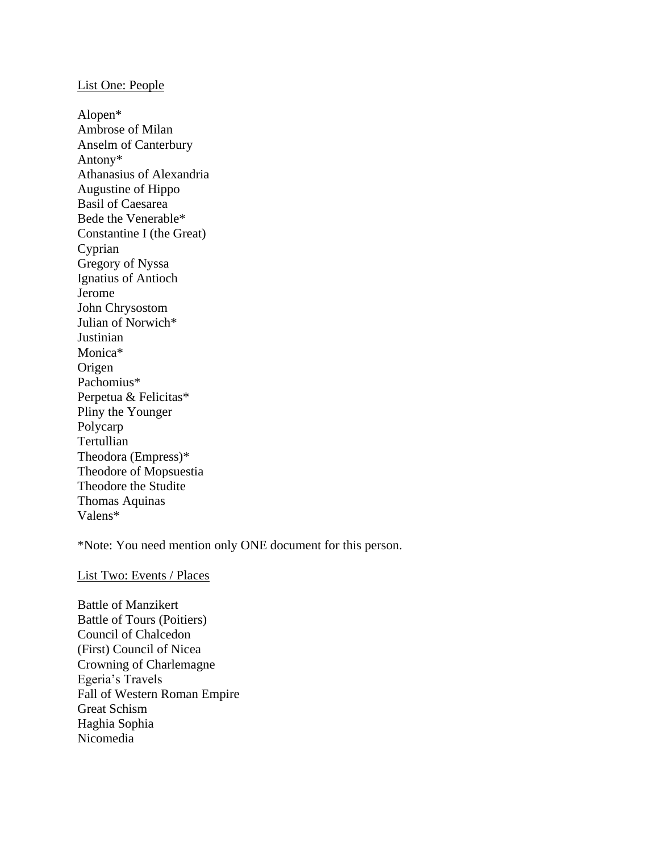#### List One: People

Alopen\* Ambrose of Milan Anselm of Canterbury Antony\* Athanasius of Alexandria Augustine of Hippo Basil of Caesarea Bede the Venerable\* Constantine I (the Great) Cyprian Gregory of Nyssa Ignatius of Antioch Jerome John Chrysostom Julian of Norwich\* Justinian Monica\* Origen Pachomius\* Perpetua & Felicitas\* Pliny the Younger Polycarp Tertullian Theodora (Empress)\* Theodore of Mopsuestia Theodore the Studite Thomas Aquinas Valens\*

\*Note: You need mention only ONE document for this person.

#### List Two: Events / Places

Battle of Manzikert Battle of Tours (Poitiers) Council of Chalcedon (First) Council of Nicea Crowning of Charlemagne Egeria's Travels Fall of Western Roman Empire Great Schism Haghia Sophia Nicomedia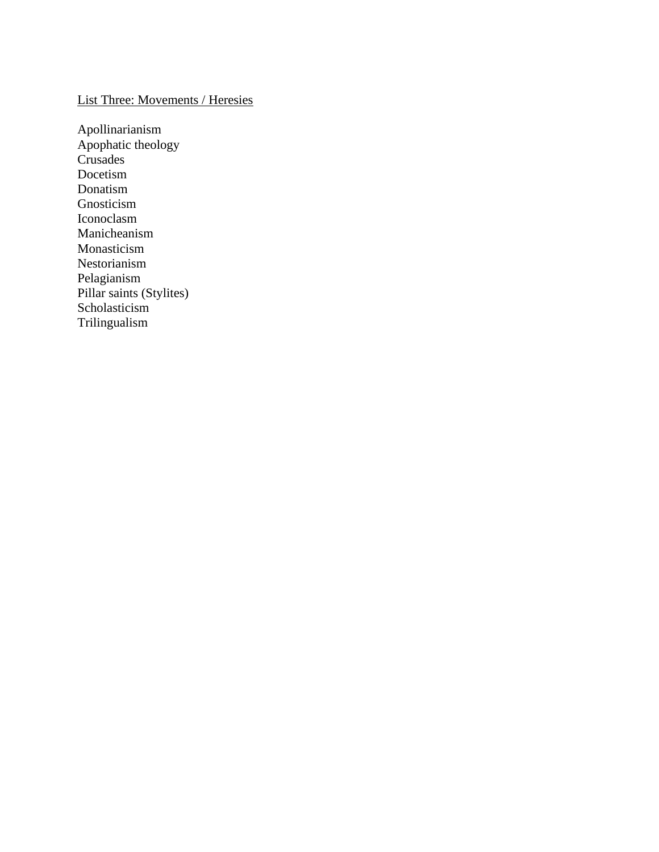# List Three: Movements / Heresies

Apollinarianism Apophatic theology Crusades Docetism Donatism Gnosticism Iconoclasm Manicheanism Monasticism Nestorianism Pelagianism Pillar saints (Stylites) Scholasticism Trilingualism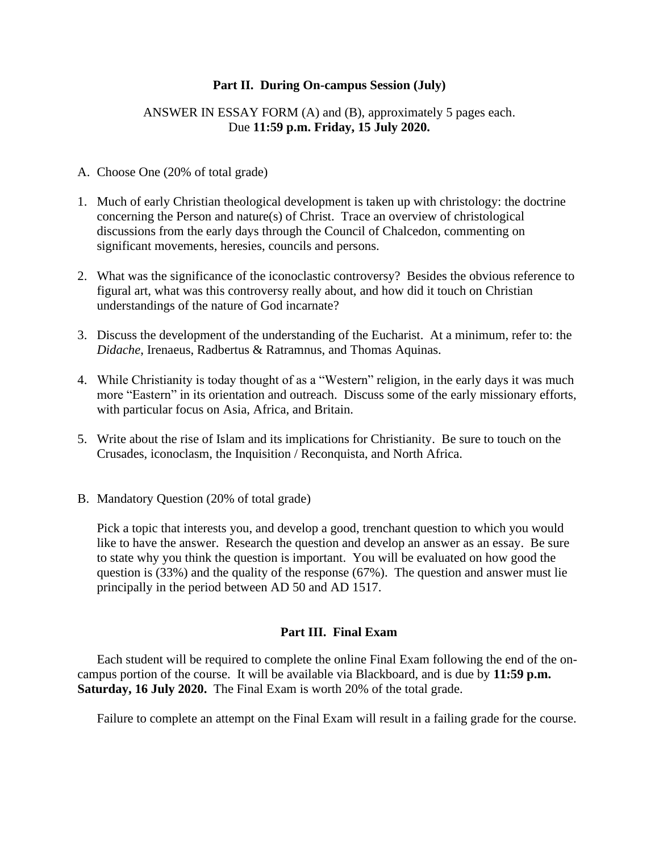### **Part II. During On-campus Session (July)**

### ANSWER IN ESSAY FORM (A) and (B), approximately 5 pages each. Due **11:59 p.m. Friday, 15 July 2020.**

#### A. Choose One (20% of total grade)

- 1. Much of early Christian theological development is taken up with christology: the doctrine concerning the Person and nature(s) of Christ. Trace an overview of christological discussions from the early days through the Council of Chalcedon, commenting on significant movements, heresies, councils and persons.
- 2. What was the significance of the iconoclastic controversy? Besides the obvious reference to figural art, what was this controversy really about, and how did it touch on Christian understandings of the nature of God incarnate?
- 3. Discuss the development of the understanding of the Eucharist. At a minimum, refer to: the *Didache*, Irenaeus, Radbertus & Ratramnus, and Thomas Aquinas.
- 4. While Christianity is today thought of as a "Western" religion, in the early days it was much more "Eastern" in its orientation and outreach. Discuss some of the early missionary efforts, with particular focus on Asia, Africa, and Britain.
- 5. Write about the rise of Islam and its implications for Christianity. Be sure to touch on the Crusades, iconoclasm, the Inquisition / Reconquista, and North Africa.
- B. Mandatory Question (20% of total grade)

Pick a topic that interests you, and develop a good, trenchant question to which you would like to have the answer. Research the question and develop an answer as an essay. Be sure to state why you think the question is important. You will be evaluated on how good the question is (33%) and the quality of the response (67%). The question and answer must lie principally in the period between AD 50 and AD 1517.

#### **Part III. Final Exam**

Each student will be required to complete the online Final Exam following the end of the oncampus portion of the course. It will be available via Blackboard, and is due by **11:59 p.m. Saturday, 16 July 2020.** The Final Exam is worth 20% of the total grade.

Failure to complete an attempt on the Final Exam will result in a failing grade for the course.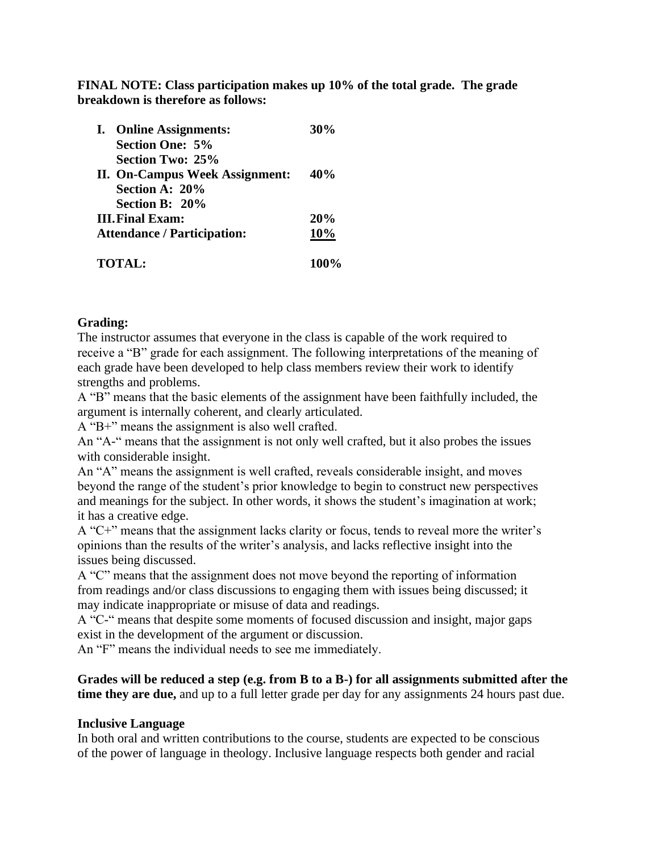**FINAL NOTE: Class participation makes up 10% of the total grade. The grade breakdown is therefore as follows:**

|                                    | I. Online Assignments:         | 30%  |
|------------------------------------|--------------------------------|------|
|                                    | <b>Section One: 5%</b>         |      |
|                                    | Section Two: 25%               |      |
|                                    | II. On-Campus Week Assignment: | 40%  |
|                                    | Section A: 20%                 |      |
|                                    | Section B: 20%                 |      |
|                                    | <b>III. Final Exam:</b>        | 20%  |
| <b>Attendance / Participation:</b> |                                | 10%  |
|                                    | <b>TOTAL:</b>                  | 100% |

# **Grading:**

The instructor assumes that everyone in the class is capable of the work required to receive a "B" grade for each assignment. The following interpretations of the meaning of each grade have been developed to help class members review their work to identify strengths and problems.

A "B" means that the basic elements of the assignment have been faithfully included, the argument is internally coherent, and clearly articulated.

A "B+" means the assignment is also well crafted.

An "A-" means that the assignment is not only well crafted, but it also probes the issues with considerable insight.

An "A" means the assignment is well crafted, reveals considerable insight, and moves beyond the range of the student's prior knowledge to begin to construct new perspectives and meanings for the subject. In other words, it shows the student's imagination at work; it has a creative edge.

A "C+" means that the assignment lacks clarity or focus, tends to reveal more the writer's opinions than the results of the writer's analysis, and lacks reflective insight into the issues being discussed.

A "C" means that the assignment does not move beyond the reporting of information from readings and/or class discussions to engaging them with issues being discussed; it may indicate inappropriate or misuse of data and readings.

A "C-" means that despite some moments of focused discussion and insight, major gaps exist in the development of the argument or discussion.

An "F" means the individual needs to see me immediately.

**Grades will be reduced a step (e.g. from B to a B-) for all assignments submitted after the time they are due,** and up to a full letter grade per day for any assignments 24 hours past due.

### **Inclusive Language**

In both oral and written contributions to the course, students are expected to be conscious of the power of language in theology. Inclusive language respects both gender and racial